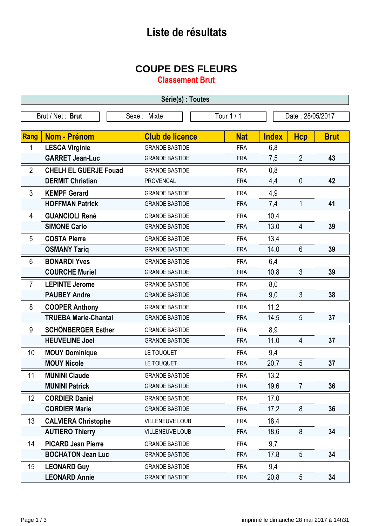## **Liste de résultats**

## **COUPE DES FLEURS**

**Classement Brut**

| Série(s) : Toutes |                              |                        |            |                  |                |             |
|-------------------|------------------------------|------------------------|------------|------------------|----------------|-------------|
|                   | Brut / Net: Brut             | Sexe: Mixte            | Tour 1 / 1 | Date: 28/05/2017 |                |             |
|                   |                              |                        |            |                  |                |             |
| <b>Rang</b>       | <b>Nom - Prénom</b>          | <b>Club de licence</b> | <b>Nat</b> | <b>Index</b>     | <b>Hcp</b>     | <b>Brut</b> |
| 1                 | <b>LESCA Virginie</b>        | <b>GRANDE BASTIDE</b>  | <b>FRA</b> | 6,8              |                |             |
|                   | <b>GARRET Jean-Luc</b>       | <b>GRANDE BASTIDE</b>  | <b>FRA</b> | 7,5              | $\overline{2}$ | 43          |
| $\overline{2}$    | <b>CHELH EL GUERJE Fouad</b> | <b>GRANDE BASTIDE</b>  | <b>FRA</b> | 0,8              |                |             |
|                   | <b>DERMIT Christian</b>      | <b>PROVENCAL</b>       | <b>FRA</b> | 4,4              | $\mathbf 0$    | 42          |
| 3                 | <b>KEMPF Gerard</b>          | <b>GRANDE BASTIDE</b>  | <b>FRA</b> | 4,9              |                |             |
|                   | <b>HOFFMAN Patrick</b>       | <b>GRANDE BASTIDE</b>  | <b>FRA</b> | 7,4              | 1              | 41          |
| 4                 | <b>GUANCIOLI René</b>        | <b>GRANDE BASTIDE</b>  | <b>FRA</b> | 10,4             |                |             |
|                   | <b>SIMONE Carlo</b>          | <b>GRANDE BASTIDE</b>  | <b>FRA</b> | 13,0             | 4              | 39          |
| 5                 | <b>COSTA Pierre</b>          | <b>GRANDE BASTIDE</b>  | <b>FRA</b> | 13,4             |                |             |
|                   | <b>OSMANY Tariq</b>          | <b>GRANDE BASTIDE</b>  | <b>FRA</b> | 14,0             | $6\phantom{1}$ | 39          |
| $6\phantom{1}$    | <b>BONARDI Yves</b>          | <b>GRANDE BASTIDE</b>  | <b>FRA</b> | 6,4              |                |             |
|                   | <b>COURCHE Muriel</b>        | <b>GRANDE BASTIDE</b>  | <b>FRA</b> | 10,8             | 3              | 39          |
| $\overline{7}$    | <b>LEPINTE Jerome</b>        | <b>GRANDE BASTIDE</b>  | <b>FRA</b> | 8,0              |                |             |
|                   | <b>PAUBEY Andre</b>          | <b>GRANDE BASTIDE</b>  | <b>FRA</b> | 9,0              | 3              | 38          |
| 8                 | <b>COOPER Anthony</b>        | <b>GRANDE BASTIDE</b>  | <b>FRA</b> | 11,2             |                |             |
|                   | <b>TRUEBA Marie-Chantal</b>  | <b>GRANDE BASTIDE</b>  | <b>FRA</b> | 14,5             | 5              | 37          |
| 9                 | <b>SCHÖNBERGER Esther</b>    | <b>GRANDE BASTIDE</b>  | <b>FRA</b> | 8,9              |                |             |
|                   | <b>HEUVELINE Joel</b>        | <b>GRANDE BASTIDE</b>  | <b>FRA</b> | 11,0             | 4              | 37          |
| 10                | <b>MOUY Dominique</b>        | LE TOUQUET             | <b>FRA</b> | 9,4              |                |             |
|                   | <b>MOUY Nicole</b>           | LE TOUQUET             | <b>FRA</b> | 20,7             | 5              | 37          |
| 11                | <b>MUNINI Claude</b>         | <b>GRANDE BASTIDE</b>  | FRA        | 13,2             |                |             |
|                   | <b>MUNINI Patrick</b>        | <b>GRANDE BASTIDE</b>  | <b>FRA</b> | 19,6             | $\overline{7}$ | 36          |
| 12 <sup>°</sup>   | <b>CORDIER Daniel</b>        | <b>GRANDE BASTIDE</b>  | <b>FRA</b> | 17,0             |                |             |
|                   | <b>CORDIER Marie</b>         | <b>GRANDE BASTIDE</b>  | <b>FRA</b> | 17,2             | 8              | 36          |
| 13                | <b>CALVIERA Christophe</b>   | VILLENEUVE LOUB        | <b>FRA</b> | 18,4             |                |             |
|                   | <b>AUTIERO Thierry</b>       | VILLENEUVE LOUB        | <b>FRA</b> | 18,6             | 8              | 34          |
| 14                | <b>PICARD Jean Pierre</b>    | <b>GRANDE BASTIDE</b>  | <b>FRA</b> | 9,7              |                |             |
|                   | <b>BOCHATON Jean Luc</b>     | <b>GRANDE BASTIDE</b>  | <b>FRA</b> | 17,8             | 5              | 34          |
| 15                | <b>LEONARD Guy</b>           | <b>GRANDE BASTIDE</b>  | <b>FRA</b> | 9,4              |                |             |
|                   | <b>LEONARD Annie</b>         | <b>GRANDE BASTIDE</b>  | <b>FRA</b> | 20,8             | 5              | 34          |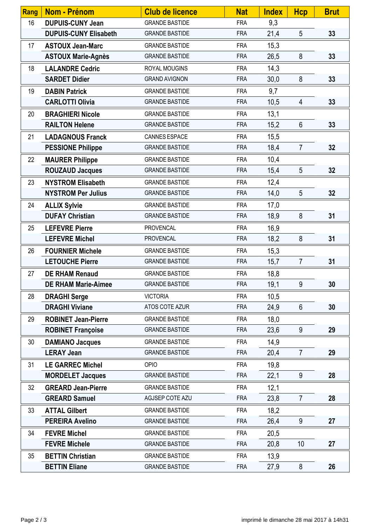| Rang | Nom - Prénom                 | <b>Club de licence</b> | <b>Nat</b> | <b>Index</b> | <b>Hcp</b>     | <b>Brut</b> |
|------|------------------------------|------------------------|------------|--------------|----------------|-------------|
| 16   | <b>DUPUIS-CUNY Jean</b>      | <b>GRANDE BASTIDE</b>  | <b>FRA</b> | 9,3          |                |             |
|      | <b>DUPUIS-CUNY Elisabeth</b> | <b>GRANDE BASTIDE</b>  | <b>FRA</b> | 21,4         | 5              | 33          |
| 17   | <b>ASTOUX Jean-Marc</b>      | <b>GRANDE BASTIDE</b>  | <b>FRA</b> | 15,3         |                |             |
|      | <b>ASTOUX Marie-Agnès</b>    | <b>GRANDE BASTIDE</b>  | <b>FRA</b> | 26,5         | 8              | 33          |
| 18   | <b>LALANDRE Cedric</b>       | ROYAL MOUGINS          | <b>FRA</b> | 14,3         |                |             |
|      | <b>SARDET Didier</b>         | <b>GRAND AVIGNON</b>   | <b>FRA</b> | 30,0         | 8              | 33          |
| 19   | <b>DABIN Patrick</b>         | <b>GRANDE BASTIDE</b>  | <b>FRA</b> | 9,7          |                |             |
|      | <b>CARLOTTI Olivia</b>       | <b>GRANDE BASTIDE</b>  | <b>FRA</b> | 10,5         | 4              | 33          |
| 20   | <b>BRAGHIERI Nicole</b>      | <b>GRANDE BASTIDE</b>  | <b>FRA</b> | 13,1         |                |             |
|      | <b>RAILTON Helene</b>        | <b>GRANDE BASTIDE</b>  | <b>FRA</b> | 15,2         | $6\phantom{1}$ | 33          |
| 21   | <b>LADAGNOUS Franck</b>      | CANNES ESPACE          | <b>FRA</b> | 15,5         |                |             |
|      | <b>PESSIONE Philippe</b>     | <b>GRANDE BASTIDE</b>  | <b>FRA</b> | 18,4         | $\overline{7}$ | 32          |
| 22   | <b>MAURER Philippe</b>       | <b>GRANDE BASTIDE</b>  | <b>FRA</b> | 10,4         |                |             |
|      | <b>ROUZAUD Jacques</b>       | <b>GRANDE BASTIDE</b>  | <b>FRA</b> | 15,4         | 5              | 32          |
| 23   | <b>NYSTROM Elisabeth</b>     | <b>GRANDE BASTIDE</b>  | <b>FRA</b> | 12,4         |                |             |
|      | <b>NYSTROM Per Julius</b>    | <b>GRANDE BASTIDE</b>  | <b>FRA</b> | 14,0         | 5              | 32          |
| 24   | <b>ALLIX Sylvie</b>          | <b>GRANDE BASTIDE</b>  | <b>FRA</b> | 17,0         |                |             |
|      | <b>DUFAY Christian</b>       | <b>GRANDE BASTIDE</b>  | <b>FRA</b> | 18,9         | 8              | 31          |
| 25   | <b>LEFEVRE Pierre</b>        | <b>PROVENCAL</b>       | <b>FRA</b> | 16,9         |                |             |
|      | <b>LEFEVRE Michel</b>        | <b>PROVENCAL</b>       | <b>FRA</b> | 18,2         | 8              | 31          |
| 26   | <b>FOURNIER Michele</b>      | <b>GRANDE BASTIDE</b>  | <b>FRA</b> | 15,3         |                |             |
|      | <b>LETOUCHE Pierre</b>       | <b>GRANDE BASTIDE</b>  | <b>FRA</b> | 15,7         | $\overline{7}$ | 31          |
| 27   | <b>DE RHAM Renaud</b>        | <b>GRANDE BASTIDE</b>  | <b>FRA</b> | 18,8         |                |             |
|      | <b>DE RHAM Marie-Aimee</b>   | <b>GRANDE BASTIDE</b>  | <b>FRA</b> | 19,1         | 9              | 30          |
| 28   | <b>DRAGHI Serge</b>          | <b>VICTORIA</b>        | <b>FRA</b> | 10,5         |                |             |
|      | <b>DRAGHI Viviane</b>        | ATOS COTE AZUR         | <b>FRA</b> | 24,9         | 6              | 30          |
| 29   | <b>ROBINET Jean-Pierre</b>   | <b>GRANDE BASTIDE</b>  | <b>FRA</b> | 18,0         |                |             |
|      | <b>ROBINET Françoise</b>     | <b>GRANDE BASTIDE</b>  | <b>FRA</b> | 23,6         | 9              | 29          |
| 30   | <b>DAMIANO Jacques</b>       | <b>GRANDE BASTIDE</b>  | <b>FRA</b> | 14,9         |                |             |
|      | <b>LERAY Jean</b>            | <b>GRANDE BASTIDE</b>  | <b>FRA</b> | 20,4         | $\overline{7}$ | 29          |
| 31   | <b>LE GARREC Michel</b>      | OPIO                   | <b>FRA</b> | 19,8         |                |             |
|      | <b>MORDELET Jacques</b>      | <b>GRANDE BASTIDE</b>  | <b>FRA</b> | 22,1         | 9              | 28          |
| 32   | <b>GREARD Jean-Pierre</b>    | <b>GRANDE BASTIDE</b>  | <b>FRA</b> | 12,1         |                |             |
|      | <b>GREARD Samuel</b>         | AGJSEP COTE AZU        | <b>FRA</b> | 23,8         | $\overline{7}$ | 28          |
| 33   | <b>ATTAL Gilbert</b>         | <b>GRANDE BASTIDE</b>  | <b>FRA</b> | 18,2         |                |             |
|      | <b>PEREIRA Avelino</b>       | <b>GRANDE BASTIDE</b>  | <b>FRA</b> | 26,4         | 9              | 27          |
| 34   | <b>FEVRE Michel</b>          | <b>GRANDE BASTIDE</b>  | <b>FRA</b> | 20,5         |                |             |
|      | <b>FEVRE Michele</b>         | <b>GRANDE BASTIDE</b>  | <b>FRA</b> | 20,8         | 10             | 27          |
| 35   | <b>BETTIN Christian</b>      | <b>GRANDE BASTIDE</b>  | <b>FRA</b> | 13,9         |                |             |
|      | <b>BETTIN Eliane</b>         | <b>GRANDE BASTIDE</b>  | <b>FRA</b> | 27,9         | 8              | 26          |